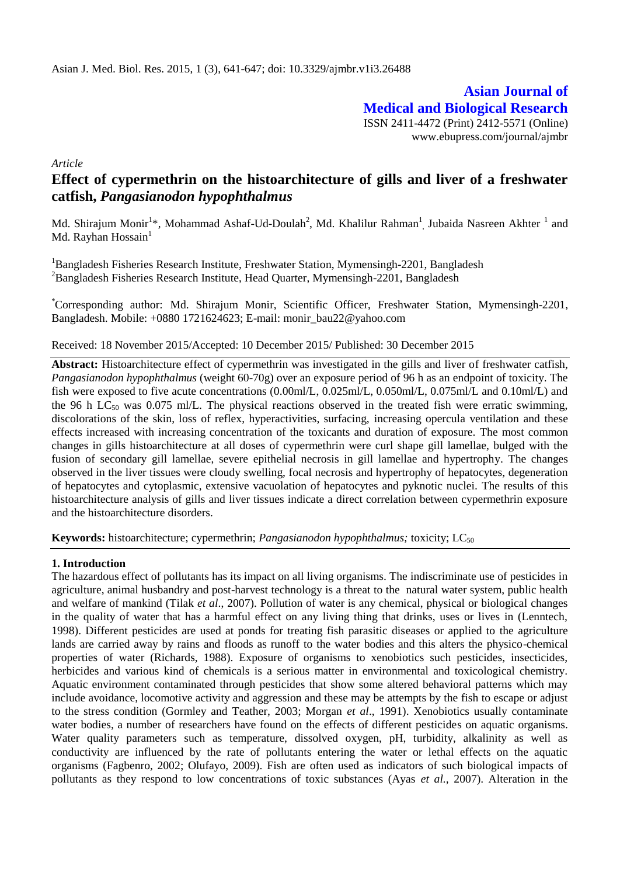**Asian Journal of Medical and Biological Research** ISSN 2411-4472 (Print) 2412-5571 (Online)

www.ebupress.com/journal/ajmbr

*Article*

# **Effect of cypermethrin on the histoarchitecture of gills and liver of a freshwater catfish,** *Pangasianodon hypophthalmus*

Md. Shirajum Monir<sup>1</sup>\*, Mohammad Ashaf-Ud-Doulah<sup>2</sup>, Md. Khalilur Rahman<sup>1</sup>, Jubaida Nasreen Akhter <sup>1</sup> and Md. Rayhan Hossain $<sup>1</sup>$ </sup>

<sup>1</sup>Bangladesh Fisheries Research Institute, Freshwater Station, Mymensingh-2201, Bangladesh <sup>2</sup>Bangladesh Fisheries Research Institute, Head Quarter, Mymensingh-2201, Bangladesh

\*Corresponding author: Md. Shirajum Monir, Scientific Officer, Freshwater Station, Mymensingh-2201, Bangladesh. Mobile: +0880 1721624623; E-mail: [monir\\_bau22@yahoo.com](mailto:monir_bau22@yahoo.com)

Received: 18 November 2015/Accepted: 10 December 2015/ Published: 30 December 2015

**Abstract:** Histoarchitecture effect of cypermethrin was investigated in the gills and liver of freshwater catfish, *Pangasianodon hypophthalmus* (weight 60-70g) over an exposure period of 96 h as an endpoint of toxicity. The fish were exposed to five acute concentrations (0.00ml/L, 0.025ml/L, 0.050ml/L, 0.075ml/L and 0.10ml/L) and the 96 h LC<sub>50</sub> was 0.075 ml/L. The physical reactions observed in the treated fish were erratic swimming, discolorations of the skin, loss of reflex, hyperactivities, surfacing, increasing opercula ventilation and these effects increased with increasing concentration of the toxicants and duration of exposure. The most common changes in gills histoarchitecture at all doses of cypermethrin were curl shape gill lamellae, bulged with the fusion of secondary gill lamellae, severe epithelial necrosis in gill lamellae and hypertrophy. The changes observed in the liver tissues were cloudy swelling, focal necrosis and hypertrophy of hepatocytes, degeneration of hepatocytes and cytoplasmic, extensive vacuolation of hepatocytes and pyknotic nuclei. The results of this histoarchitecture analysis of gills and liver tissues indicate a direct correlation between cypermethrin exposure and the histoarchitecture disorders.

**Keywords:** histoarchitecture; cypermethrin; *Pangasianodon hypophthalmus*; *toxicity*; LC<sub>50</sub>

### **1. Introduction**

The hazardous effect of pollutants has its impact on all living organisms. The indiscriminate use of pesticides in agriculture, animal husbandry and post-harvest technology is a threat to the natural water system, public health and welfare of mankind (Tilak *et al*., 2007). Pollution of water is any chemical, physical or biological changes in the quality of water that has a harmful effect on any living thing that drinks, uses or lives in (Lenntech, 1998). Different pesticides are used at ponds for treating fish parasitic diseases or applied to the agriculture lands are carried away by rains and floods as runoff to the water bodies and this alters the physico-chemical properties of water (Richards, 1988). Exposure of organisms to xenobiotics such pesticides, insecticides, herbicides and various kind of chemicals is a serious matter in environmental and toxicological chemistry. Aquatic environment contaminated through pesticides that show some altered behavioral patterns which may include avoidance, locomotive activity and aggression and these may be attempts by the fish to escape or adjust to the stress condition (Gormley and Teather, 2003; Morgan *et al*., 1991). Xenobiotics usually contaminate water bodies, a number of researchers have found on the effects of different pesticides on aquatic organisms. Water quality parameters such as temperature, dissolved oxygen, pH, turbidity, alkalinity as well as conductivity are influenced by the rate of pollutants entering the water or lethal effects on the aquatic organisms (Fagbenro, 2002; Olufayo, 2009). Fish are often used as indicators of such biological impacts of pollutants as they respond to low concentrations of toxic substances (Ayas *et al.,* 2007). Alteration in the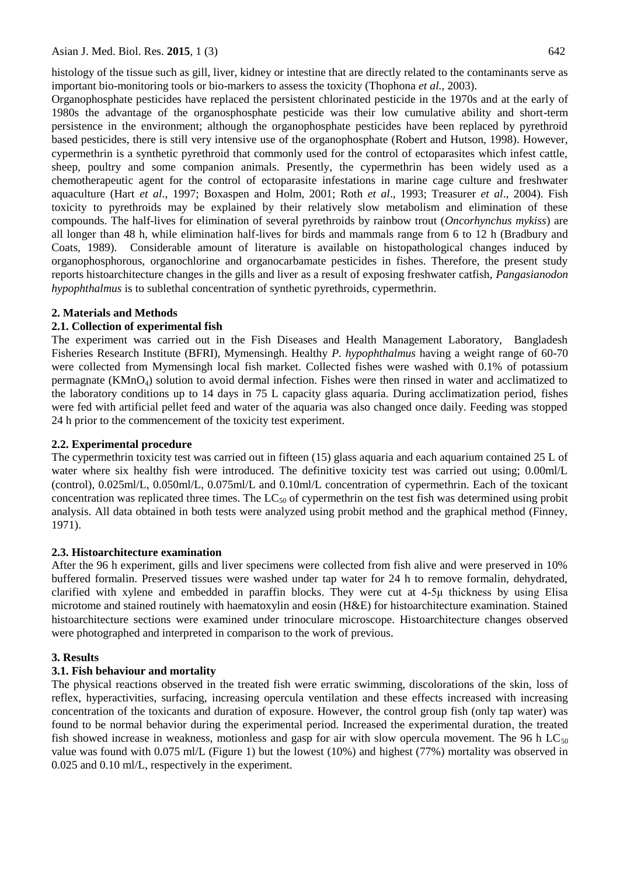histology of the tissue such as gill, liver, kidney or intestine that are directly related to the contaminants serve as important bio-monitoring tools or bio-markers to assess the toxicity (Thophona *et al.,* 2003).

Organophosphate pesticides have replaced the persistent chlorinated pesticide in the 1970s and at the early of 1980s the advantage of the organosphosphate pesticide was their low cumulative ability and short-term persistence in the environment; although the organophosphate pesticides have been replaced by pyrethroid based pesticides, there is still very intensive use of the organophosphate (Robert and Hutson, 1998). However, cypermethrin is a synthetic pyrethroid that commonly used for the control of ectoparasites which infest cattle, sheep, poultry and some companion animals. Presently, the cypermethrin has been widely used as a chemotherapeutic agent for the control of ectoparasite infestations in marine cage culture and freshwater aquaculture (Hart *et al*., 1997; Boxaspen and Holm, 2001; Roth *et al*., 1993; Treasurer *et al*., 2004). Fish toxicity to pyrethroids may be explained by their relatively slow metabolism and elimination of these compounds. The half-lives for elimination of several pyrethroids by rainbow trout (*Oncorhynchus mykiss*) are all longer than 48 h, while elimination half-lives for birds and mammals range from 6 to 12 h (Bradbury and Coats, 1989). Considerable amount of literature is available on histopathological changes induced by organophosphorous, organochlorine and organocarbamate pesticides in fishes. Therefore, the present study reports histoarchitecture changes in the gills and liver as a result of exposing freshwater catfish, *Pangasianodon hypophthalmus* is to sublethal concentration of synthetic pyrethroids, cypermethrin.

# **2. Materials and Methods**

# **2.1. Collection of experimental fish**

The experiment was carried out in the Fish Diseases and Health Management Laboratory, Bangladesh Fisheries Research Institute (BFRI), Mymensingh. Healthy *P. hypophthalmus* having a weight range of 60-70 were collected from Mymensingh local fish market. Collected fishes were washed with 0.1% of potassium permagnate (KMnO4) solution to avoid dermal infection. Fishes were then rinsed in water and acclimatized to the laboratory conditions up to 14 days in 75 L capacity glass aquaria. During acclimatization period, fishes were fed with artificial pellet feed and water of the aquaria was also changed once daily. Feeding was stopped 24 h prior to the commencement of the toxicity test experiment.

## **2.2. Experimental procedure**

The cypermethrin toxicity test was carried out in fifteen (15) glass aquaria and each aquarium contained 25 L of water where six healthy fish were introduced. The definitive toxicity test was carried out using; 0.00ml/L (control), 0.025ml/L, 0.050ml/L, 0.075ml/L and 0.10ml/L concentration of cypermethrin. Each of the toxicant concentration was replicated three times. The  $LC_{50}$  of cypermethrin on the test fish was determined using probit analysis. All data obtained in both tests were analyzed using probit method and the graphical method (Finney, 1971).

### **2.3. Histoarchitecture examination**

After the 96 h experiment, gills and liver specimens were collected from fish alive and were preserved in 10% buffered formalin. Preserved tissues were washed under tap water for 24 h to remove formalin, dehydrated, clarified with xylene and embedded in paraffin blocks. They were cut at 4-5μ thickness by using Elisa microtome and stained routinely with haematoxylin and eosin (H&E) for histoarchitecture examination. Stained histoarchitecture sections were examined under trinoculare microscope. Histoarchitecture changes observed were photographed and interpreted in comparison to the work of previous.

# **3. Results**

# **3.1. Fish behaviour and mortality**

The physical reactions observed in the treated fish were erratic swimming, discolorations of the skin, loss of reflex, hyperactivities, surfacing, increasing opercula ventilation and these effects increased with increasing concentration of the toxicants and duration of exposure. However, the control group fish (only tap water) was found to be normal behavior during the experimental period. Increased the experimental duration, the treated fish showed increase in weakness, motionless and gasp for air with slow opercula movement. The 96 h  $LC_{50}$ value was found with 0.075 ml/L (Figure 1) but the lowest (10%) and highest (77%) mortality was observed in 0.025 and 0.10 ml/L, respectively in the experiment.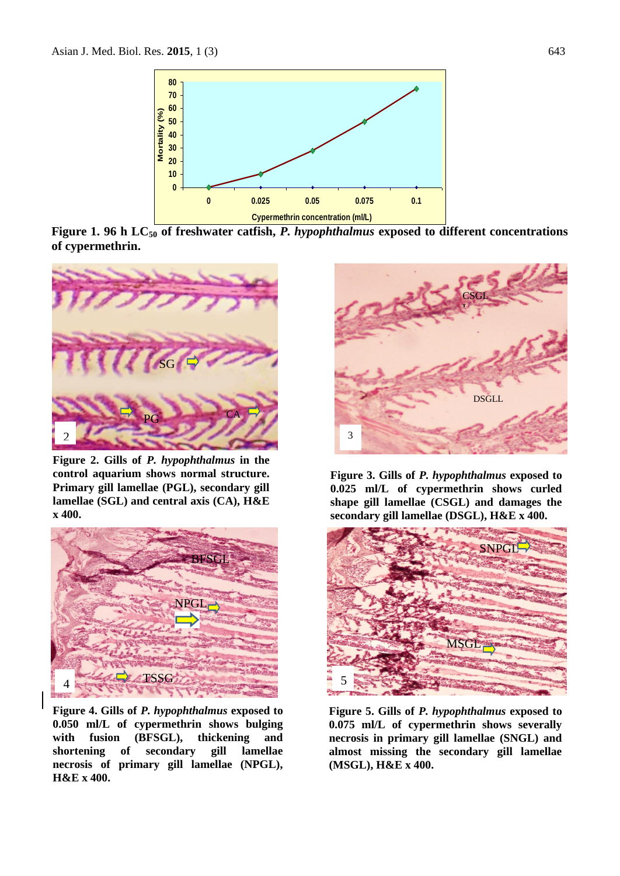

**Figure 1. 96 h LC<sup>50</sup> of freshwater catfish,** *P. hypophthalmus* **exposed to different concentrations of cypermethrin.**



**Figure 2. Gills of** *P. hypophthalmus* **in the control aquarium shows normal structure. Primary gill lamellae (PGL), secondary gill lamellae (SGL) and central axis (CA), H&E x 400.**



3 **Figure 4. Gills of** *P. hypophthalmus* **exposed to 0.050 ml/L of cypermethrin shows bulging with fusion (BFSGL), thickening and shortening of secondary gill lamellae necrosis of primary gill lamellae (NPGL), H&E x 400.** 



**Figure 3. Gills of** *P. hypophthalmus* **exposed to 0.025 ml/L of cypermethrin shows curled shape gill lamellae (CSGL) and damages the secondary gill lamellae (DSGL), H&E x 400.** 



**Figure 5. Gills of** *P. hypophthalmus* **exposed to 0.075 ml/L of cypermethrin shows severally necrosis in primary gill lamellae (SNGL) and almost missing the secondary gill lamellae (MSGL), H&E x 400.**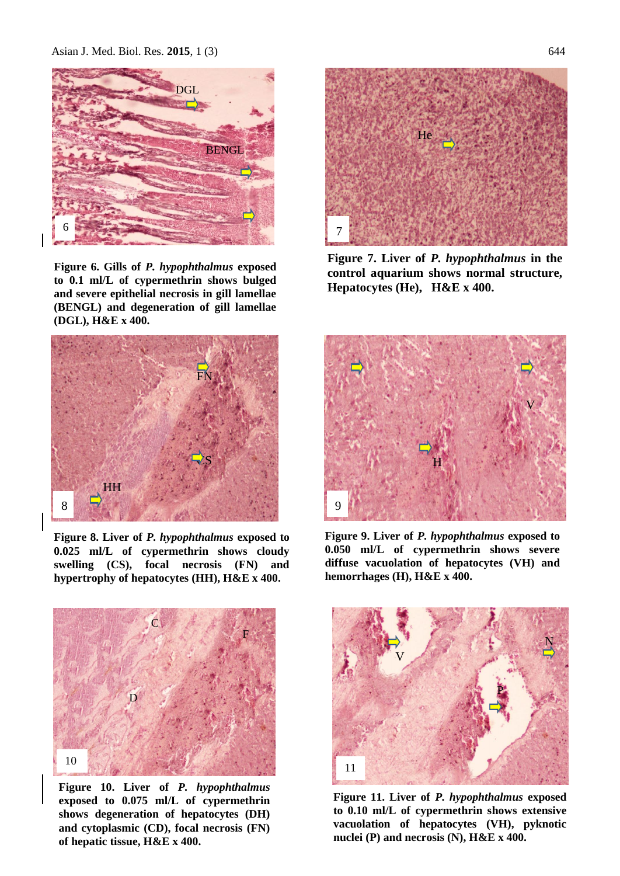Asian J. Med. Biol. Res. **2015**, 1 (3) 644



**Figure 6. Gills of** *P. hypophthalmus* **exposed to 0.1 ml/L of cypermethrin shows bulged and severe epithelial necrosis in gill lamellae (BENGL) and degeneration of gill lamellae (DGL), H&E x 400.** 



**Figure 7. Liver of** *P. hypophthalmus* **in the control aquarium shows normal structure, Hepatocytes (He), H&E x 400.** 



**Figure 8. Liver of** *P. hypophthalmus* **exposed to 0.025 ml/L of cypermethrin shows cloudy swelling (CS), focal necrosis (FN) and hypertrophy of hepatocytes (HH), H&E x 400.** 



**Figure 10. Liver of** *P. hypophthalmus* **exposed to 0.075 ml/L of cypermethrin shows degeneration of hepatocytes (DH) and cytoplasmic (CD), focal necrosis (FN) of hepatic tissue, H&E x 400.** 



**Figure 9. Liver of** *P. hypophthalmus* **exposed to 0.050 ml/L of cypermethrin shows severe diffuse vacuolation of hepatocytes (VH) and hemorrhages (H), H&E x 400.** 



**Figure 11. Liver of** *P. hypophthalmus* **exposed**  0 **to 0.10 ml/L of cypermethrin shows extensive vacuolation of hepatocytes (VH), pyknotic nuclei (P) and necrosis (N), H&E x 400.**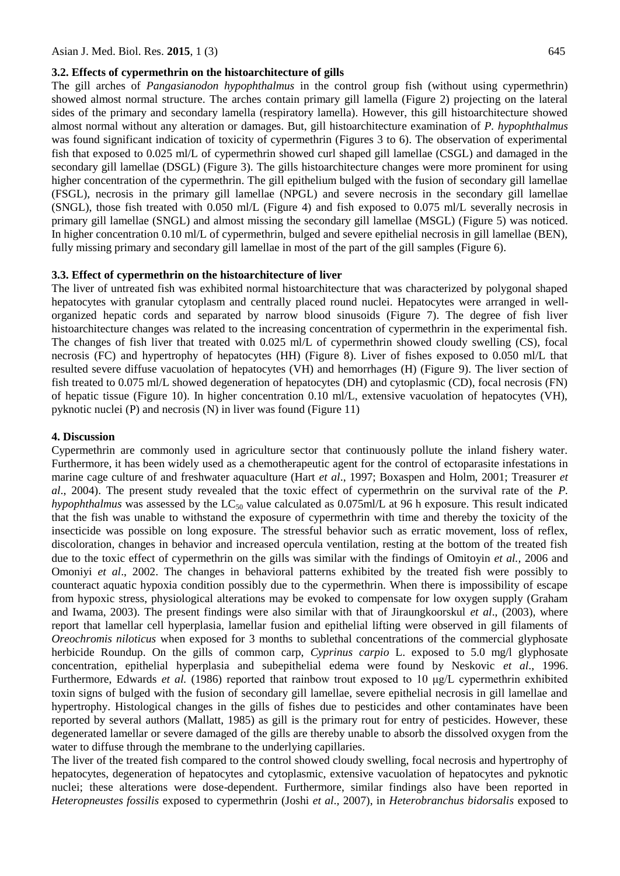#### **3.2. Effects of cypermethrin on the histoarchitecture of gills**

The gill arches of *Pangasianodon hypophthalmus* in the control group fish (without using cypermethrin) showed almost normal structure. The arches contain primary gill lamella (Figure 2) projecting on the lateral sides of the primary and secondary lamella (respiratory lamella). However, this gill histoarchitecture showed almost normal without any alteration or damages. But, gill histoarchitecture examination of *P. hypophthalmus*  was found significant indication of toxicity of cypermethrin (Figures 3 to 6). The observation of experimental fish that exposed to 0.025 ml/L of cypermethrin showed curl shaped gill lamellae (CSGL) and damaged in the secondary gill lamellae (DSGL) (Figure 3). The gills histoarchitecture changes were more prominent for using higher concentration of the cypermethrin. The gill epithelium bulged with the fusion of secondary gill lamellae (FSGL), necrosis in the primary gill lamellae (NPGL) and severe necrosis in the secondary gill lamellae (SNGL), those fish treated with 0.050 ml/L (Figure 4) and fish exposed to 0.075 ml/L severally necrosis in primary gill lamellae (SNGL) and almost missing the secondary gill lamellae (MSGL) (Figure 5) was noticed. In higher concentration 0.10 ml/L of cypermethrin, bulged and severe epithelial necrosis in gill lamellae (BEN), fully missing primary and secondary gill lamellae in most of the part of the gill samples (Figure 6).

#### **3.3. Effect of cypermethrin on the histoarchitecture of liver**

The liver of untreated fish was exhibited normal histoarchitecture that was characterized by polygonal shaped hepatocytes with granular cytoplasm and centrally placed round nuclei. Hepatocytes were arranged in wellorganized hepatic cords and separated by narrow blood sinusoids (Figure 7). The degree of fish liver histoarchitecture changes was related to the increasing concentration of cypermethrin in the experimental fish. The changes of fish liver that treated with 0.025 ml/L of cypermethrin showed cloudy swelling (CS), focal necrosis (FC) and hypertrophy of hepatocytes (HH) (Figure 8). Liver of fishes exposed to 0.050 ml/L that resulted severe diffuse vacuolation of hepatocytes (VH) and hemorrhages (H) (Figure 9). The liver section of fish treated to 0.075 ml/L showed degeneration of hepatocytes (DH) and cytoplasmic (CD), focal necrosis (FN) of hepatic tissue (Figure 10). In higher concentration 0.10 ml/L, extensive vacuolation of hepatocytes (VH), pyknotic nuclei (P) and necrosis (N) in liver was found (Figure 11)

#### **4. Discussion**

Cypermethrin are commonly used in agriculture sector that continuously pollute the inland fishery water. Furthermore, it has been widely used as a chemotherapeutic agent for the control of ectoparasite infestations in marine cage culture of and freshwater aquaculture (Hart *et al*., 1997; Boxaspen and Holm, 2001; Treasurer *et al*., 2004). The present study revealed that the toxic effect of cypermethrin on the survival rate of the *P. hypophthalmus* was assessed by the  $LC_{50}$  value calculated as 0.075ml/L at 96 h exposure. This result indicated that the fish was unable to withstand the exposure of cypermethrin with time and thereby the toxicity of the insecticide was possible on long exposure. The stressful behavior such as erratic movement, loss of reflex, discoloration, changes in behavior and increased opercula ventilation, resting at the bottom of the treated fish due to the toxic effect of cypermethrin on the gills was similar with the findings of Omitoyin *et al.,* 2006 and Omoniyi *et al*., 2002. The changes in behavioral patterns exhibited by the treated fish were possibly to counteract aquatic hypoxia condition possibly due to the cypermethrin. When there is impossibility of escape from hypoxic stress, physiological alterations may be evoked to compensate for low oxygen supply (Graham and Iwama, 2003). The present findings were also similar with that of Jiraungkoorskul *et al*., (2003), where report that lamellar cell hyperplasia, lamellar fusion and epithelial lifting were observed in gill filaments of *Oreochromis niloticus* when exposed for 3 months to sublethal concentrations of the commercial glyphosate herbicide Roundup. On the gills of common carp, *Cyprinus carpio* L. exposed to 5.0 mg/l glyphosate concentration, epithelial hyperplasia and subepithelial edema were found by Neskovic *et al*., 1996. Furthermore, Edwards *et al.* (1986) reported that rainbow trout exposed to 10 μg/L cypermethrin exhibited toxin signs of bulged with the fusion of secondary gill lamellae, severe epithelial necrosis in gill lamellae and hypertrophy. Histological changes in the gills of fishes due to pesticides and other contaminates have been reported by several authors (Mallatt, 1985) as gill is the primary rout for entry of pesticides. However, these degenerated lamellar or severe damaged of the gills are thereby unable to absorb the dissolved oxygen from the water to diffuse through the membrane to the underlying capillaries.

The liver of the treated fish compared to the control showed cloudy swelling, focal necrosis and hypertrophy of hepatocytes, degeneration of hepatocytes and cytoplasmic, extensive vacuolation of hepatocytes and pyknotic nuclei; these alterations were dose-dependent. Furthermore, similar findings also have been reported in *Heteropneustes fossilis* exposed to cypermethrin (Joshi *et al*.*,* 2007), in *Heterobranchus bidorsalis* exposed to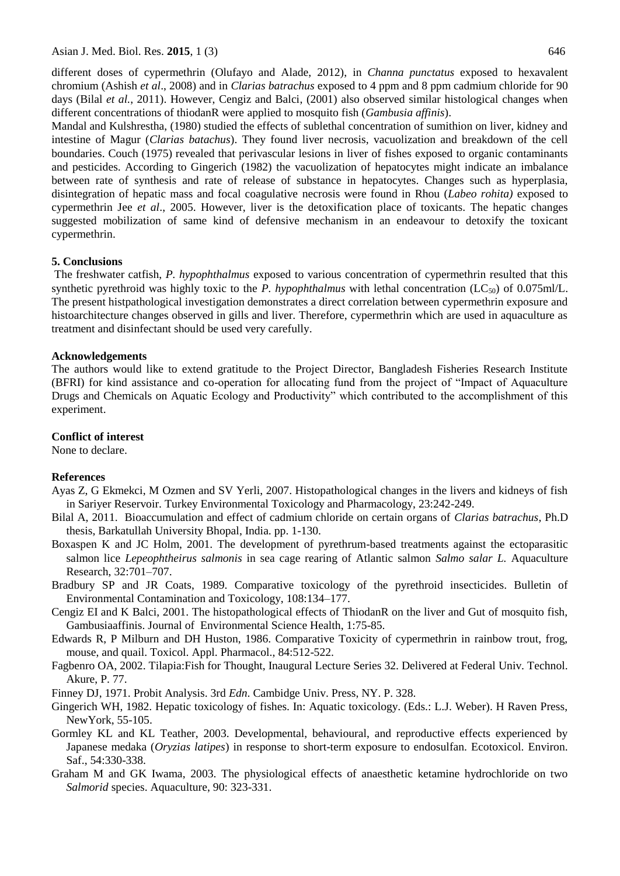Asian J. Med. Biol. Res. **2015**, 1 (3) 646

different doses of cypermethrin (Olufayo and Alade, 2012), in *Channa punctatus* exposed to hexavalent chromium (Ashish *et al*., 2008) and in *Clarias batrachus* exposed to 4 ppm and 8 ppm cadmium chloride for 90 days (Bilal *et al.*, 2011). However, Cengiz and Balci, (2001) also observed similar histological changes when different concentrations of thiodanR were applied to mosquito fish (*Gambusia affinis*).

Mandal and Kulshrestha, (1980) studied the effects of sublethal concentration of sumithion on liver, kidney and intestine of Magur (*Clarias batachus*). They found liver necrosis, vacuolization and breakdown of the cell boundaries. Couch (1975) revealed that perivascular lesions in liver of fishes exposed to organic contaminants and pesticides. According to Gingerich (1982) the vacuolization of hepatocytes might indicate an imbalance between rate of synthesis and rate of release of substance in hepatocytes. Changes such as hyperplasia, disintegration of hepatic mass and focal coagulative necrosis were found in Rhou (*Labeo rohita)* exposed to cypermethrin Jee *et al*., 2005. However, liver is the detoxification place of toxicants. The hepatic changes suggested mobilization of same kind of defensive mechanism in an endeavour to detoxify the toxicant cypermethrin.

### **5. Conclusions**

The freshwater catfish, *P. hypophthalmus* exposed to various concentration of cypermethrin resulted that this synthetic pyrethroid was highly toxic to the *P. hypophthalmus* with lethal concentration  $(LC_{50})$  of 0.075ml/L. The present histpathological investigation demonstrates a direct correlation between cypermethrin exposure and histoarchitecture changes observed in gills and liver. Therefore, cypermethrin which are used in aquaculture as treatment and disinfectant should be used very carefully.

#### **Acknowledgements**

The authors would like to extend gratitude to the Project Director, Bangladesh Fisheries Research Institute (BFRI) for kind assistance and co-operation for allocating fund from the project of "Impact of Aquaculture Drugs and Chemicals on Aquatic Ecology and Productivity" which contributed to the accomplishment of this experiment.

#### **Conflict of interest**

None to declare.

### **References**

- Ayas Z, G Ekmekci, M Ozmen and SV Yerli, 2007. Histopathological changes in the livers and kidneys of fish in Sariyer Reservoir. Turkey Environmental Toxicology and Pharmacology, 23:242-249.
- Bilal A, 2011. Bioaccumulation and effect of cadmium chloride on certain organs of *Clarias batrachus*, Ph.D thesis, Barkatullah University Bhopal, India. pp. 1-130.
- Boxaspen K and JC Holm, 2001. The development of pyrethrum-based treatments against the ectoparasitic salmon lice *Lepeophtheirus salmonis* in sea cage rearing of Atlantic salmon *Salmo salar L.* Aquaculture Research, 32:701–707.
- Bradbury SP and JR Coats, 1989. Comparative toxicology of the pyrethroid insecticides. Bulletin of Environmental Contamination and Toxicology, 108:134–177.
- Cengiz EI and K Balci, 2001. The histopathological effects of ThiodanR on the liver and Gut of mosquito fish, Gambusiaaffinis. Journal of Environmental Science Health, 1:75-85.
- Edwards R, P Milburn and DH Huston, 1986. Comparative Toxicity of cypermethrin in rainbow trout, frog, mouse, and quail. Toxicol. Appl. Pharmacol., 84:512-522.
- Fagbenro OA, 2002. Tilapia:Fish for Thought, Inaugural Lecture Series 32. Delivered at Federal Univ. Technol. Akure, P. 77.
- Finney DJ, 1971. Probit Analysis. 3rd *Edn*. Cambidge Univ. Press, NY. P. 328.
- Gingerich WH, 1982. Hepatic toxicology of fishes. In: Aquatic toxicology. (Eds.: L.J. Weber). H Raven Press, NewYork, 55-105.
- Gormley KL and KL Teather, 2003. Developmental, behavioural, and reproductive effects experienced by Japanese medaka (*Oryzias latipes*) in response to short-term exposure to endosulfan. Ecotoxicol. Environ. Saf., 54:330-338.
- Graham M and GK Iwama, 2003. The physiological effects of anaesthetic ketamine hydrochloride on two *Salmorid* species. Aquaculture, 90: 323-331.